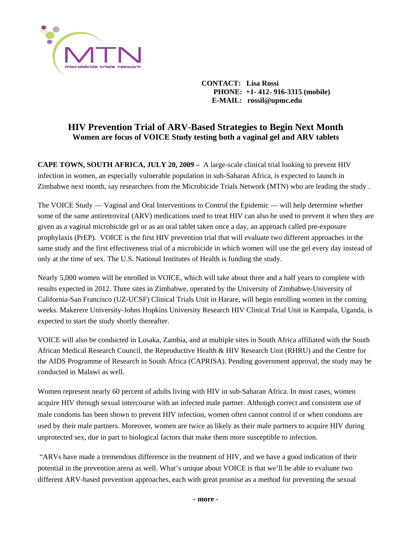

 **CONTACT: Lisa Rossi PHONE: +1- 412- 916-3315 (mobile) E-MAIL: rossil@upmc.edu** 

## **HIV Prevention Trial of ARV-Based Strategies to Begin Next Month Women are focus of VOICE Study testing both a vaginal gel and ARV tablets**

**CAPE TOWN, SOUTH AFRICA, JULY 20, 2009 –** A large-scale clinical trial looking to prevent HIV infection in women, an especially vulnerable population in sub-Saharan Africa, is expected to launch in Zimbabwe next month, say researchers from the Microbicide Trials Network (MTN) who are leading the study .

The VOICE Study — Vaginal and Oral Interventions to Control the Epidemic — will help determine whether some of the same antiretroviral (ARV) medications used to treat HIV can also be used to prevent it when they are given as a vaginal microbicide gel or as an oral tablet taken once a day, an approach called pre-exposure prophylaxis (PrEP). VOICE is the first HIV prevention trial that will evaluate two different approaches in the same study and the first effectiveness trial of a microbicide in which women will use the gel every day instead of only at the time of sex. The U.S. National Institutes of Health is funding the study.

Nearly 5,000 women will be enrolled in VOICE, which will take about three and a half years to complete with results expected in 2012. Three sites in Zimbabwe, operated by the University of Zimbabwe-University of California-San Francisco (UZ-UCSF) Clinical Trials Unit in Harare, will begin enrolling women in the coming weeks. Makerere University-Johns Hopkins University Research HIV Clinical Trial Unit in Kampala, Uganda, is expected to start the study shortly thereafter.

VOICE will also be conducted in Lusaka, Zambia, and at multiple sites in South Africa affiliated with the South African Medical Research Council, the Reproductive Health & HIV Research Unit (RHRU) and the Centre for the AIDS Programme of Research in South Africa (CAPRISA). Pending government approval, the study may be conducted in Malawi as well.

Women represent nearly 60 percent of adults living with HIV in sub-Saharan Africa. In most cases, women acquire HIV through sexual intercourse with an infected male partner. Although correct and consistent use of male condoms has been shown to prevent HIV infection, women often cannot control if or when condoms are used by their male partners. Moreover, women are twice as likely as their male partners to acquire HIV during unprotected sex, due in part to biological factors that make them more susceptible to infection.

 "ARVs have made a tremendous difference in the treatment of HIV, and we have a good indication of their potential in the prevention arena as well. What's unique about VOICE is that we'll be able to evaluate two different ARV-based prevention approaches, each with great promise as a method for preventing the sexual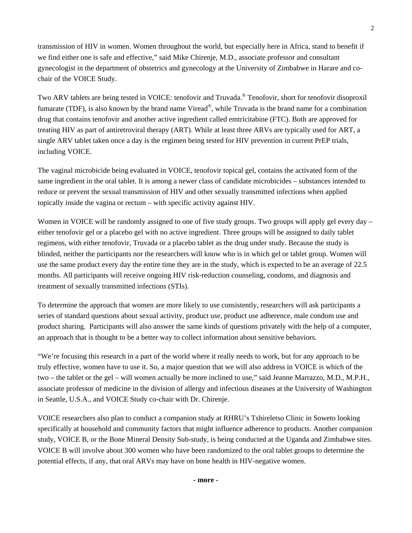transmission of HIV in women. Women throughout the world, but especially here in Africa, stand to benefit if we find either one is safe and effective," said Mike Chirenje, M.D., associate professor and consultant gynecologist in the department of obstetrics and gynecology at the University of Zimbabwe in Harare and cochair of the VOICE Study.

Two ARV tablets are being tested in VOICE: tenofovir and Truvada.® Tenofovir, short for tenofovir disoproxil fumarate (TDF), is also known by the brand name Viread®, while Truvada is the brand name for a combination drug that contains tenofovir and another active ingredient called emtricitabine (FTC). Both are approved for treating HIV as part of antiretroviral therapy (ART). While at least three ARVs are typically used for ART, a single ARV tablet taken once a day is the regimen being tested for HIV prevention in current PrEP trials, including VOICE.

The vaginal microbicide being evaluated in VOICE, tenofovir topical gel, contains the activated form of the same ingredient in the oral tablet. It is among a newer class of candidate microbicides – substances intended to reduce or prevent the sexual transmission of HIV and other sexually transmitted infections when applied topically inside the vagina or rectum – with specific activity against HIV.

Women in VOICE will be randomly assigned to one of five study groups. Two groups will apply gel every day – either tenofovir gel or a placebo gel with no active ingredient. Three groups will be assigned to daily tablet regimens, with either tenofovir, Truvada or a placebo tablet as the drug under study. Because the study is blinded, neither the participants nor the researchers will know who is in which gel or tablet group. Women will use the same product every day the entire time they are in the study, which is expected to be an average of 22.5 months. All participants will receive ongoing HIV risk-reduction counseling, condoms, and diagnosis and treatment of sexually transmitted infections (STIs).

To determine the approach that women are more likely to use consistently, researchers will ask participants a series of standard questions about sexual activity, product use, product use adherence, male condom use and product sharing. Participants will also answer the same kinds of questions privately with the help of a computer, an approach that is thought to be a better way to collect information about sensitive behaviors.

"We're focusing this research in a part of the world where it really needs to work, but for any approach to be truly effective, women have to use it. So, a major question that we will also address in VOICE is which of the two – the tablet or the gel – will women actually be more inclined to use," said Jeanne Marrazzo, M.D., M.P.H., associate professor of medicine in the division of allergy and infectious diseases at the University of Washington in Seattle, U.S.A., and VOICE Study co-chair with Dr. Chirenje.

VOICE researchers also plan to conduct a companion study at RHRU's Tshireletso Clinic in Soweto looking specifically at household and community factors that might influence adherence to products. Another companion study, VOICE B, or the Bone Mineral Density Sub-study, is being conducted at the Uganda and Zimbabwe sites. VOICE B will involve about 300 women who have been randomized to the oral tablet groups to determine the potential effects, if any, that oral ARVs may have on bone health in HIV-negative women.